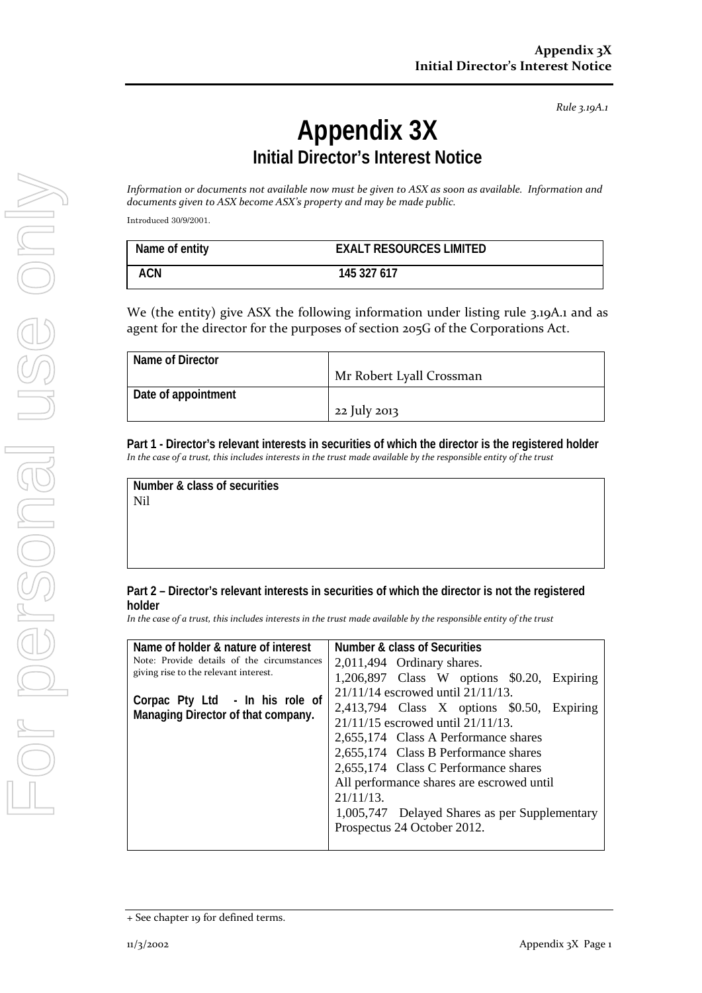*Rule 3.19A.1*

## **Appendix 3X Initial Director's Interest Notice**

Information or documents not available now must be given to ASX as soon as available. Information and *documents given to ASX become ASX's property and may be made public.*

Introduced 30/9/2001.

| Name of entity | <b>EXALT RESOURCES LIMITED</b> |
|----------------|--------------------------------|
| <b>ACN</b>     | 145 327 617                    |

We (the entity) give ASX the following information under listing rule 3.19A.1 and as agent for the director for the purposes of section 205G of the Corporations Act.

| Name of Director    |                          |
|---------------------|--------------------------|
|                     | Mr Robert Lyall Crossman |
| Date of appointment |                          |
|                     | 22 July 2013             |

**Part 1 - Director's relevant interests in securities of which the director is the registered holder**  In the case of a trust, this includes interests in the trust made available by the responsible entity of the trust

**Number & class of securities**  Nil

## **Part 2 – Director's relevant interests in securities of which the director is not the registered holder**

In the case of a trust, this includes interests in the trust made available by the responsible entity of the trust

| Name of holder & nature of interest<br>Note: Provide details of the circumstances<br>giving rise to the relevant interest. | Number & class of Securities                  |
|----------------------------------------------------------------------------------------------------------------------------|-----------------------------------------------|
|                                                                                                                            | $2,011,494$ Ordinary shares.                  |
|                                                                                                                            | 1,206,897 Class W options \$0.20, Expiring    |
| Corpac Pty Ltd - In his role of<br>Managing Director of that company.                                                      | $21/11/14$ escrowed until $21/11/13$ .        |
|                                                                                                                            | 2,413,794 Class X options \$0.50, Expiring    |
|                                                                                                                            | $21/11/15$ escrowed until $21/11/13$ .        |
|                                                                                                                            | 2,655,174 Class A Performance shares          |
|                                                                                                                            | 2,655,174 Class B Performance shares          |
|                                                                                                                            | 2,655,174 Class C Performance shares          |
|                                                                                                                            | All performance shares are escrowed until     |
|                                                                                                                            | $21/11/13$ .                                  |
|                                                                                                                            | 1,005,747 Delayed Shares as per Supplementary |
|                                                                                                                            | Prospectus 24 October 2012.                   |
|                                                                                                                            |                                               |

<sup>+</sup> See chapter 19 for defined terms.